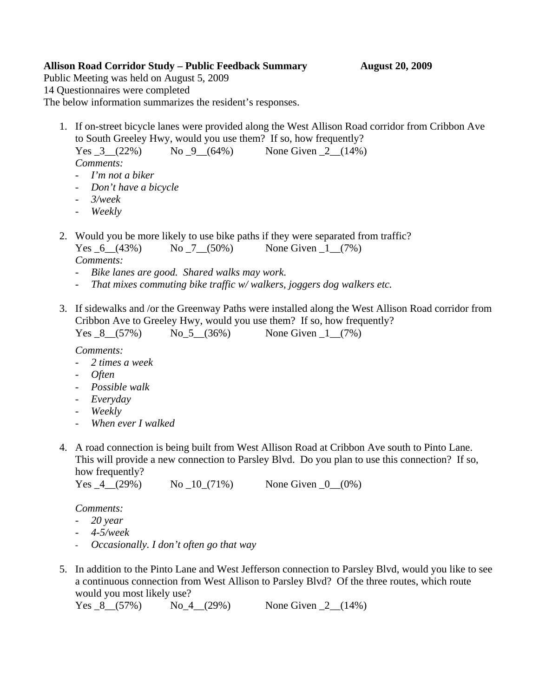# **Allison Road Corridor Study – Public Feedback Summary August 20, 2009**

Public Meeting was held on August 5, 2009 14 Questionnaires were completed The below information summarizes the resident's responses.

1. If on-street bicycle lanes were provided along the West Allison Road corridor from Cribbon Ave to South Greeley Hwy, would you use them? If so, how frequently? Yes  $3(22%)$  No  $9(64%)$  None Given  $2(14%)$ 

*Comments:* 

- *I'm not a biker*
- *Don't have a bicycle*
- *3/week*
- *Weekly*
- 2. Would you be more likely to use bike paths if they were separated from traffic? Yes  $6$   $(43\%)$  No  $7$   $(50\%)$  None Given 1  $(7\%)$ *Comments:* 
	- *Bike lanes are good. Shared walks may work.*
	- *That mixes commuting bike traffic w/ walkers, joggers dog walkers etc.*
- 3. If sidewalks and /or the Greenway Paths were installed along the West Allison Road corridor from Cribbon Ave to Greeley Hwy, would you use them? If so, how frequently?  $1(7%)$

| Yes $8(57%)$ |  | $No_5(36%)$ | None Given |
|--------------|--|-------------|------------|
|--------------|--|-------------|------------|

*Comments:* 

- *2 times a week*
- *Often*
- *Possible walk*
- *Everyday*
- *Weekly*
- *When ever I walked*
- 4. A road connection is being built from West Allison Road at Cribbon Ave south to Pinto Lane. This will provide a new connection to Parsley Blvd. Do you plan to use this connection? If so, how frequently?

| Yes $-4$ (29%) | $\text{No}$ $\_10$ $(71\%)$ | None Given $_0$ (0%) |
|----------------|-----------------------------|----------------------|
|----------------|-----------------------------|----------------------|

*Comments:* 

- *20 year*
- *4-5/week*
- *Occasionally. I don't often go that way*
- 5. In addition to the Pinto Lane and West Jefferson connection to Parsley Blvd, would you like to see a continuous connection from West Allison to Parsley Blvd? Of the three routes, which route would you most likely use?

```
Yes 8(57%) No 4(29%) None Given 2(14%)
```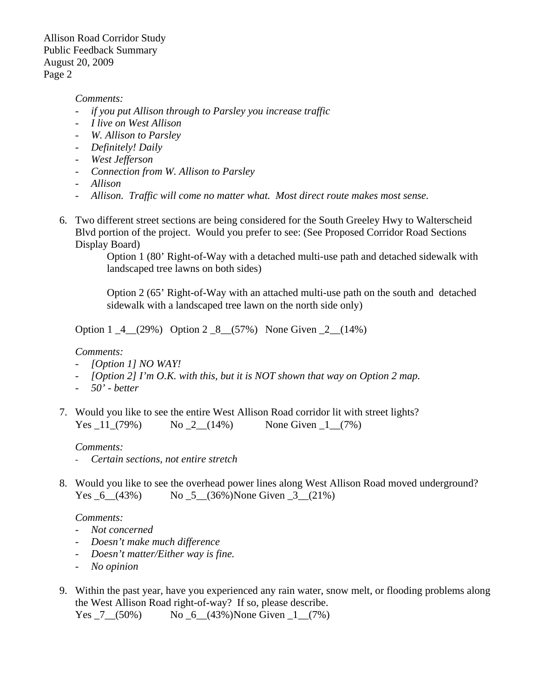Allison Road Corridor Study Public Feedback Summary August 20, 2009 Page 2

### *Comments:*

- *if you put Allison through to Parsley you increase traffic*
- *I live on West Allison*
- *W. Allison to Parsley*
- *Definitely! Daily*
- *West Jefferson*
- *Connection from W. Allison to Parsley*
- *Allison*
- *Allison. Traffic will come no matter what. Most direct route makes most sense.*
- 6. Two different street sections are being considered for the South Greeley Hwy to Walterscheid Blvd portion of the project. Would you prefer to see: (See Proposed Corridor Road Sections Display Board)

Option 1 (80' Right-of-Way with a detached multi-use path and detached sidewalk with landscaped tree lawns on both sides)

Option 2 (65' Right-of-Way with an attached multi-use path on the south and detached sidewalk with a landscaped tree lawn on the north side only)

Option 1 \_4\_\_(29%) Option 2 \_8\_\_(57%) None Given \_2\_\_(14%)

### *Comments:*

- *[Option 1] NO WAY!*
- *[Option 2] I'm O.K. with this, but it is NOT shown that way on Option 2 map.*
- *50' better*
- 7. Would you like to see the entire West Allison Road corridor lit with street lights? Yes  $11(79%)$  No  $2(14%)$  None Given  $1(7%)$

### *Comments:*

- *Certain sections, not entire stretch*
- 8. Would you like to see the overhead power lines along West Allison Road moved underground? Yes  $6$   $(43\%)$  No  $5$   $(36\%)$  None Given 3  $(21\%)$

#### *Comments:*

- *Not concerned*
- *Doesn't make much difference*
- *Doesn't matter/Either way is fine.*
- *No opinion*
- 9. Within the past year, have you experienced any rain water, snow melt, or flooding problems along the West Allison Road right-of-way? If so, please describe.

Yes  $7_{(50\%)}$  No  $6_{(43\%)}$  None Given  $1_{(7\%)}$